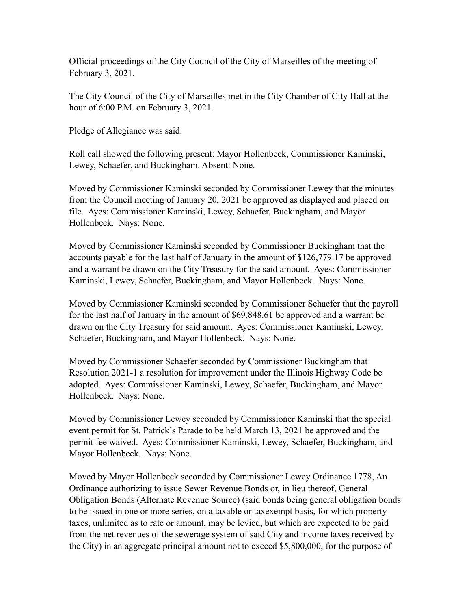Official proceedings of the City Council of the City of Marseilles of the meeting of February 3, 2021.

The City Council of the City of Marseilles met in the City Chamber of City Hall at the hour of 6:00 P.M. on February 3, 2021.

Pledge of Allegiance was said.

Roll call showed the following present: Mayor Hollenbeck, Commissioner Kaminski, Lewey, Schaefer, and Buckingham. Absent: None.

Moved by Commissioner Kaminski seconded by Commissioner Lewey that the minutes from the Council meeting of January 20, 2021 be approved as displayed and placed on file. Ayes: Commissioner Kaminski, Lewey, Schaefer, Buckingham, and Mayor Hollenbeck. Nays: None.

Moved by Commissioner Kaminski seconded by Commissioner Buckingham that the accounts payable for the last half of January in the amount of \$126,779.17 be approved and a warrant be drawn on the City Treasury for the said amount. Ayes: Commissioner Kaminski, Lewey, Schaefer, Buckingham, and Mayor Hollenbeck. Nays: None.

Moved by Commissioner Kaminski seconded by Commissioner Schaefer that the payroll for the last half of January in the amount of \$69,848.61 be approved and a warrant be drawn on the City Treasury for said amount. Ayes: Commissioner Kaminski, Lewey, Schaefer, Buckingham, and Mayor Hollenbeck. Nays: None.

Moved by Commissioner Schaefer seconded by Commissioner Buckingham that Resolution 2021-1 a resolution for improvement under the Illinois Highway Code be adopted. Ayes: Commissioner Kaminski, Lewey, Schaefer, Buckingham, and Mayor Hollenbeck. Nays: None.

Moved by Commissioner Lewey seconded by Commissioner Kaminski that the special event permit for St. Patrick's Parade to be held March 13, 2021 be approved and the permit fee waived. Ayes: Commissioner Kaminski, Lewey, Schaefer, Buckingham, and Mayor Hollenbeck. Nays: None.

Moved by Mayor Hollenbeck seconded by Commissioner Lewey Ordinance 1778, An Ordinance authorizing to issue Sewer Revenue Bonds or, in lieu thereof, General Obligation Bonds (Alternate Revenue Source) (said bonds being general obligation bonds to be issued in one or more series, on a taxable or taxexempt basis, for which property taxes, unlimited as to rate or amount, may be levied, but which are expected to be paid from the net revenues of the sewerage system of said City and income taxes received by the City) in an aggregate principal amount not to exceed \$5,800,000, for the purpose of